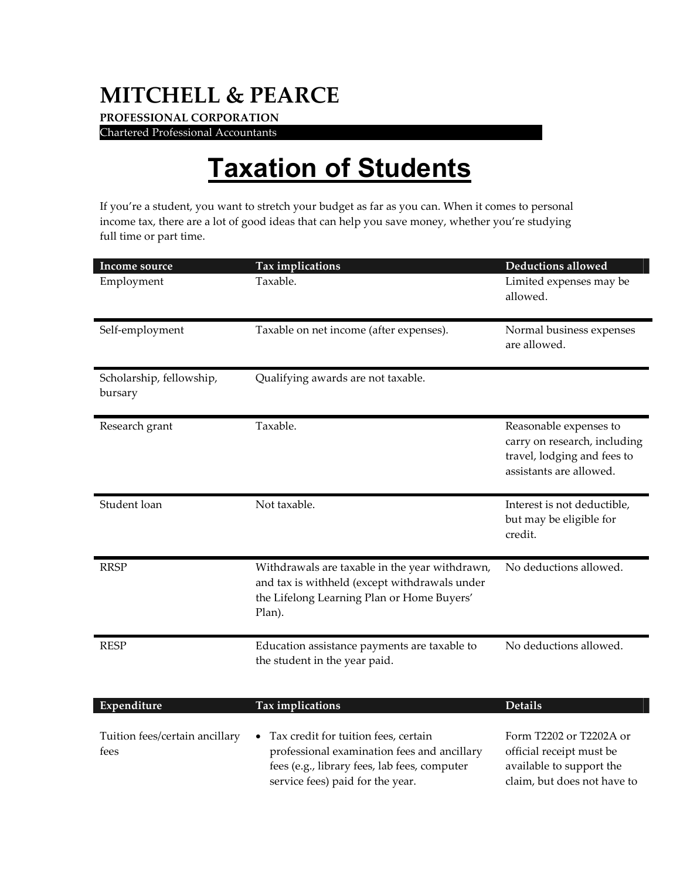## **MITCHELL & PEARCE**

**PROFESSIONAL CORPORATION**  Chartered Professional Accountants .

## **Taxation of Students**

If you're a student, you want to stretch your budget as far as you can. When it comes to personal income tax, there are a lot of good ideas that can help you save money, whether you're studying full time or part time.

| Income source                          | Tax implications                                                                                                                                                                     | Deductions allowed                                                                                               |
|----------------------------------------|--------------------------------------------------------------------------------------------------------------------------------------------------------------------------------------|------------------------------------------------------------------------------------------------------------------|
| Employment                             | Taxable.                                                                                                                                                                             | Limited expenses may be<br>allowed.                                                                              |
| Self-employment                        | Taxable on net income (after expenses).                                                                                                                                              | Normal business expenses<br>are allowed.                                                                         |
| Scholarship, fellowship,<br>bursary    | Qualifying awards are not taxable.                                                                                                                                                   |                                                                                                                  |
| Research grant                         | Taxable.                                                                                                                                                                             | Reasonable expenses to<br>carry on research, including<br>travel, lodging and fees to<br>assistants are allowed. |
| Student loan                           | Not taxable.                                                                                                                                                                         | Interest is not deductible,<br>but may be eligible for<br>credit.                                                |
| <b>RRSP</b>                            | Withdrawals are taxable in the year withdrawn,<br>and tax is withheld (except withdrawals under<br>the Lifelong Learning Plan or Home Buyers'<br>Plan).                              | No deductions allowed.                                                                                           |
| <b>RESP</b>                            | Education assistance payments are taxable to<br>the student in the year paid.                                                                                                        | No deductions allowed.                                                                                           |
| Expenditure                            | Tax implications                                                                                                                                                                     | <b>Details</b>                                                                                                   |
| Tuition fees/certain ancillary<br>fees | Tax credit for tuition fees, certain<br>$\bullet$<br>professional examination fees and ancillary<br>fees (e.g., library fees, lab fees, computer<br>service fees) paid for the year. | Form T2202 or T2202A or<br>official receipt must be<br>available to support the<br>claim, but does not have to   |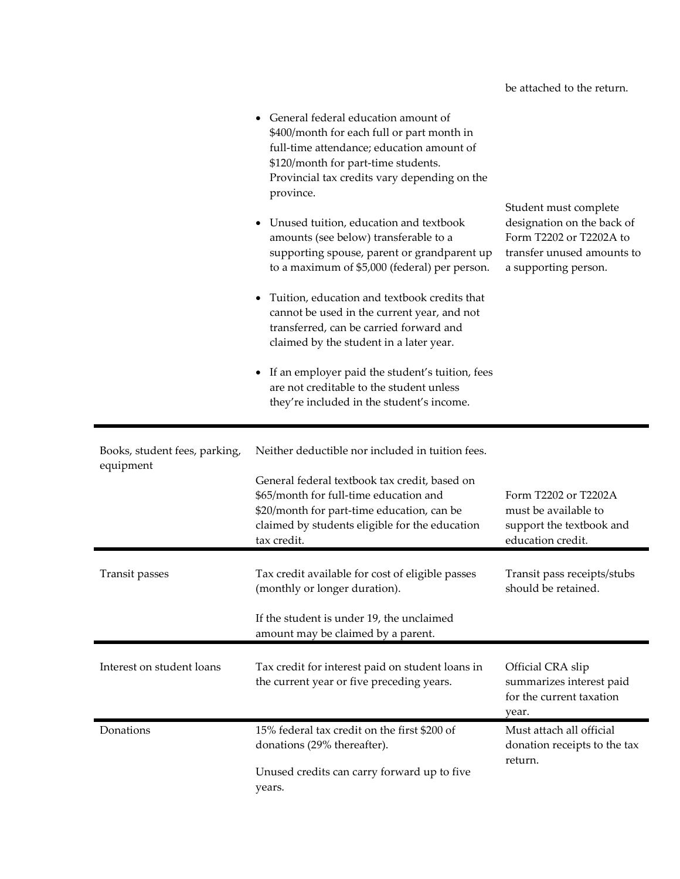|                                            | General federal education amount of<br>\$400/month for each full or part month in<br>full-time attendance; education amount of<br>\$120/month for part-time students.<br>Provincial tax credits vary depending on the<br>province.<br>Unused tuition, education and textbook<br>amounts (see below) transferable to a<br>supporting spouse, parent or grandparent up<br>to a maximum of \$5,000 (federal) per person.<br>Tuition, education and textbook credits that<br>cannot be used in the current year, and not<br>transferred, can be carried forward and<br>claimed by the student in a later year.<br>If an employer paid the student's tuition, fees<br>are not creditable to the student unless<br>they're included in the student's income. | Student must complete<br>designation on the back of<br>Form T2202 or T2202A to<br>transfer unused amounts to<br>a supporting person. |
|--------------------------------------------|--------------------------------------------------------------------------------------------------------------------------------------------------------------------------------------------------------------------------------------------------------------------------------------------------------------------------------------------------------------------------------------------------------------------------------------------------------------------------------------------------------------------------------------------------------------------------------------------------------------------------------------------------------------------------------------------------------------------------------------------------------|--------------------------------------------------------------------------------------------------------------------------------------|
| Books, student fees, parking,<br>equipment | Neither deductible nor included in tuition fees.<br>General federal textbook tax credit, based on<br>\$65/month for full-time education and<br>\$20/month for part-time education, can be<br>claimed by students eligible for the education<br>tax credit.                                                                                                                                                                                                                                                                                                                                                                                                                                                                                             | Form T2202 or T2202A<br>must be available to<br>support the textbook and<br>education credit.                                        |
| Transit passes                             | Tax credit available for cost of eligible passes<br>(monthly or longer duration).<br>If the student is under 19, the unclaimed<br>amount may be claimed by a parent.                                                                                                                                                                                                                                                                                                                                                                                                                                                                                                                                                                                   | Transit pass receipts/stubs<br>should be retained.                                                                                   |
| Interest on student loans                  | Tax credit for interest paid on student loans in<br>the current year or five preceding years.                                                                                                                                                                                                                                                                                                                                                                                                                                                                                                                                                                                                                                                          | Official CRA slip<br>summarizes interest paid<br>for the current taxation<br>year.                                                   |
| Donations                                  | 15% federal tax credit on the first \$200 of<br>donations (29% thereafter).<br>Unused credits can carry forward up to five<br>years.                                                                                                                                                                                                                                                                                                                                                                                                                                                                                                                                                                                                                   | Must attach all official<br>donation receipts to the tax<br>return.                                                                  |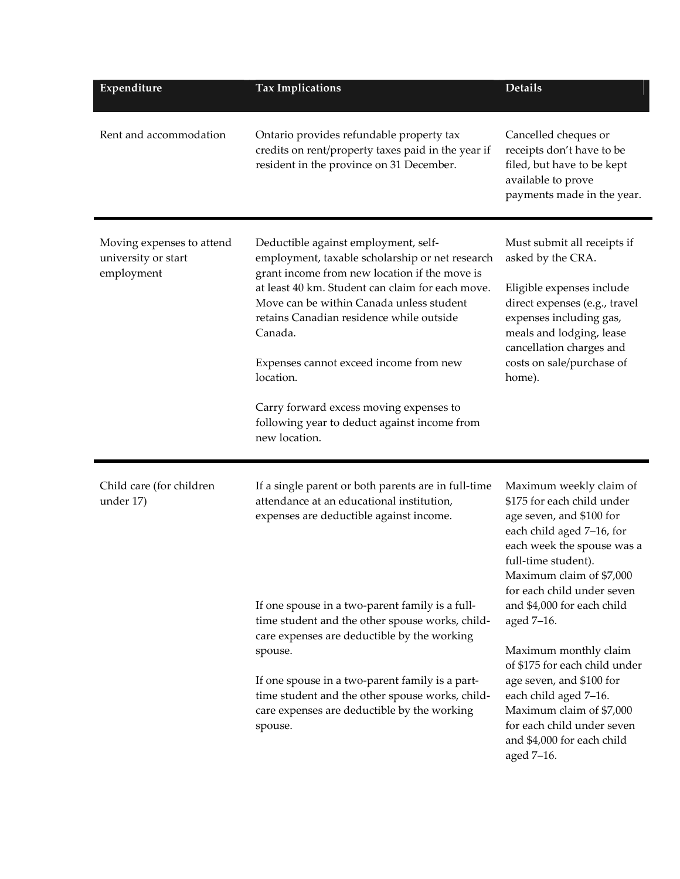| Expenditure                                                    | <b>Tax Implications</b>                                                                                                                                                                                                                                                                                                                                                                                                                                            | <b>Details</b>                                                                                                                                                                                                                                                                                                                                                  |
|----------------------------------------------------------------|--------------------------------------------------------------------------------------------------------------------------------------------------------------------------------------------------------------------------------------------------------------------------------------------------------------------------------------------------------------------------------------------------------------------------------------------------------------------|-----------------------------------------------------------------------------------------------------------------------------------------------------------------------------------------------------------------------------------------------------------------------------------------------------------------------------------------------------------------|
| Rent and accommodation                                         | Ontario provides refundable property tax<br>credits on rent/property taxes paid in the year if<br>resident in the province on 31 December.                                                                                                                                                                                                                                                                                                                         | Cancelled cheques or<br>receipts don't have to be<br>filed, but have to be kept<br>available to prove<br>payments made in the year.                                                                                                                                                                                                                             |
| Moving expenses to attend<br>university or start<br>employment | Deductible against employment, self-<br>employment, taxable scholarship or net research<br>grant income from new location if the move is<br>at least 40 km. Student can claim for each move.<br>Move can be within Canada unless student<br>retains Canadian residence while outside<br>Canada.<br>Expenses cannot exceed income from new<br>location.<br>Carry forward excess moving expenses to<br>following year to deduct against income from<br>new location. | Must submit all receipts if<br>asked by the CRA.<br>Eligible expenses include<br>direct expenses (e.g., travel<br>expenses including gas,<br>meals and lodging, lease<br>cancellation charges and<br>costs on sale/purchase of<br>home).                                                                                                                        |
| Child care (for children<br>under 17)                          | If a single parent or both parents are in full-time<br>attendance at an educational institution,<br>expenses are deductible against income.<br>If one spouse in a two-parent family is a full-<br>time student and the other spouse works, child-<br>care expenses are deductible by the working<br>spouse.<br>If one spouse in a two-parent family is a part-                                                                                                     | Maximum weekly claim of<br>\$175 for each child under<br>age seven, and \$100 for<br>each child aged 7-16, for<br>each week the spouse was a<br>full-time student).<br>Maximum claim of \$7,000<br>for each child under seven<br>and \$4,000 for each child<br>aged 7-16.<br>Maximum monthly claim<br>of \$175 for each child under<br>age seven, and \$100 for |
|                                                                | time student and the other spouse works, child-<br>care expenses are deductible by the working<br>spouse.                                                                                                                                                                                                                                                                                                                                                          | each child aged 7-16.<br>Maximum claim of \$7,000<br>for each child under seven<br>and \$4,000 for each child<br>aged 7-16.                                                                                                                                                                                                                                     |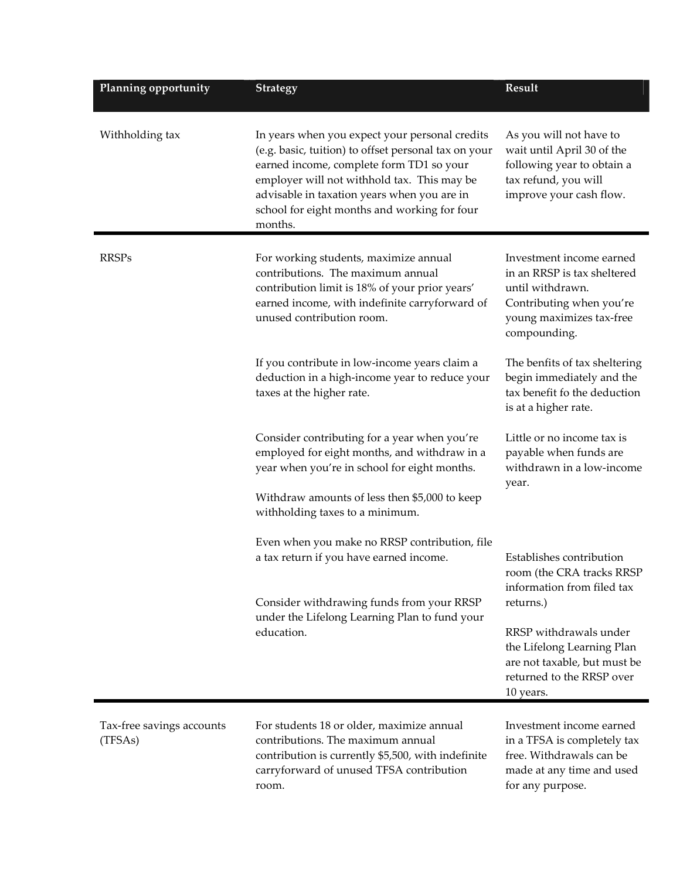| Planning opportunity                 | <b>Strategy</b>                                                                                                                                                                                                                                                                                             | Result                                                                                                                                                                                                                              |
|--------------------------------------|-------------------------------------------------------------------------------------------------------------------------------------------------------------------------------------------------------------------------------------------------------------------------------------------------------------|-------------------------------------------------------------------------------------------------------------------------------------------------------------------------------------------------------------------------------------|
| Withholding tax                      | In years when you expect your personal credits<br>(e.g. basic, tuition) to offset personal tax on your<br>earned income, complete form TD1 so your<br>employer will not withhold tax. This may be<br>advisable in taxation years when you are in<br>school for eight months and working for four<br>months. | As you will not have to<br>wait until April 30 of the<br>following year to obtain a<br>tax refund, you will<br>improve your cash flow.                                                                                              |
| <b>RRSPs</b>                         | For working students, maximize annual<br>contributions. The maximum annual<br>contribution limit is 18% of your prior years'<br>earned income, with indefinite carryforward of<br>unused contribution room.                                                                                                 | Investment income earned<br>in an RRSP is tax sheltered<br>until withdrawn.<br>Contributing when you're<br>young maximizes tax-free<br>compounding.                                                                                 |
|                                      | If you contribute in low-income years claim a<br>deduction in a high-income year to reduce your<br>taxes at the higher rate.                                                                                                                                                                                | The benfits of tax sheltering<br>begin immediately and the<br>tax benefit fo the deduction<br>is at a higher rate.                                                                                                                  |
|                                      | Consider contributing for a year when you're<br>employed for eight months, and withdraw in a<br>year when you're in school for eight months.<br>Withdraw amounts of less then \$5,000 to keep<br>withholding taxes to a minimum.                                                                            | Little or no income tax is<br>payable when funds are<br>withdrawn in a low-income<br>year.                                                                                                                                          |
|                                      | Even when you make no RRSP contribution, file<br>a tax return if you have earned income.<br>Consider withdrawing funds from your RRSP<br>under the Lifelong Learning Plan to fund your<br>education.                                                                                                        | Establishes contribution<br>room (the CRA tracks RRSP)<br>information from filed tax<br>returns.)<br>RRSP withdrawals under<br>the Lifelong Learning Plan<br>are not taxable, but must be<br>returned to the RRSP over<br>10 years. |
| Tax-free savings accounts<br>(TFSAs) | For students 18 or older, maximize annual<br>contributions. The maximum annual<br>contribution is currently \$5,500, with indefinite<br>carryforward of unused TFSA contribution<br>room.                                                                                                                   | Investment income earned<br>in a TFSA is completely tax<br>free. Withdrawals can be<br>made at any time and used<br>for any purpose.                                                                                                |